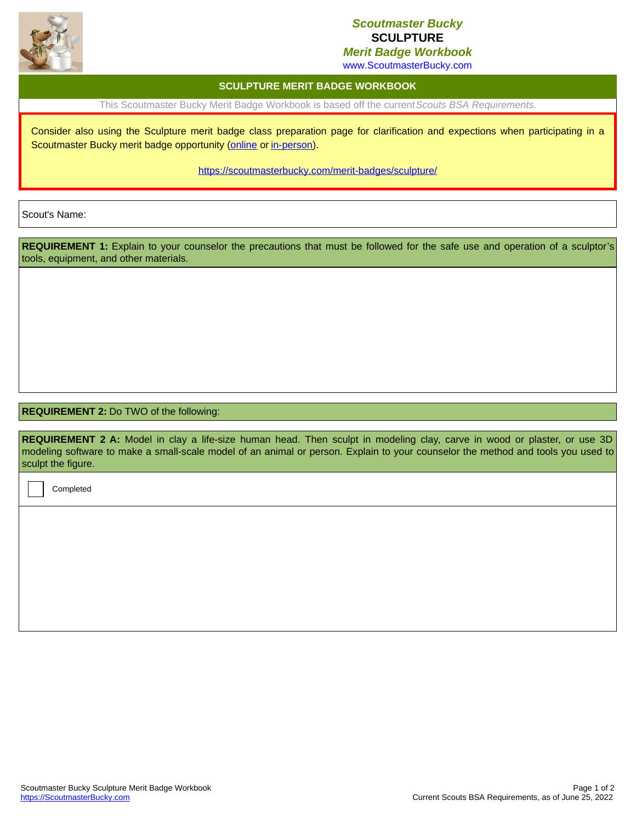

## *Scoutmaster Bucky* **SCULPTURE**

*Merit Badge Workbook*

www.ScoutmasterBucky.com

## **SCULPTURE MERIT BADGE WORKBOOK**

This Scoutmaster Bucky Merit Badge Workbook is based off the current*Scouts BSA Requirements*.

Consider also using the Sculpture merit badge class preparation page for clarification and expections when participating in a Scoutmaster Bucky merit badge opportunity ([online](http://localhost:8080/merit-badges/sculpture/?notes=online) or [in-person](http://localhost:8080/merit-badges/sculpture/?notes=inPerson)).

<https://scoutmasterbucky.com/merit-badges/sculpture/>

Scout's Name:

REQUIREMENT 1: Explain to your counselor the precautions that must be followed for the safe use and operation of a sculptor's tools, equipment, and other materials.

## **REQUIREMENT 2:** Do TWO of the following:

**REQUIREMENT 2 A:** Model in clay a life-size human head. Then sculpt in modeling clay, carve in wood or plaster, or use 3D modeling software to make a small-scale model of an animal or person. Explain to your counselor the method and tools you used to sculpt the figure.

Completed